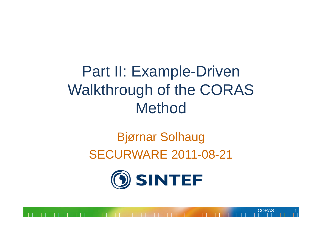Part II: Example-Driven Walkthrough of the CORAS Method

#### Bjørnar Solhaug SECURWARE 2011-08-21

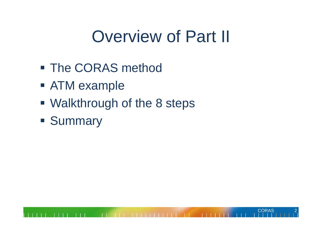# Overview of Part II

- **The CORAS method**
- ATM example
- Walkthrough of the 8 steps
- **Summary**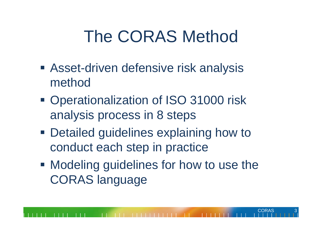# The CORAS Method

- **Asset-driven defensive risk analysis** method
- **Operationalization of ISO 31000 risk** analysis process in 8 steps
- **Detailed guidelines explaining how to** conduct each step in practice
- **Modeling guidelines for how to use the** CORAS language

CORAS

3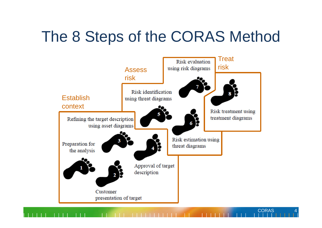#### The 8 Steps of the CORAS Method

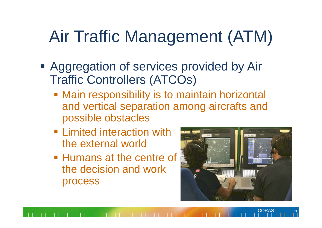# Air Traffic Management (ATM)

- **Aggregation of services provided by Air** Traffic Controllers (ATCOs)
	- **Main responsibility is to maintain horizontal** and vertical separation among aircrafts and possible obstacles
	- **Example 1 Example 1 Figure 1.1 Figure 1.1 Figure 1.1 Figure 1.1 Figure 1.1 Figure 1.1 Figure 1.1 Figure 1.1 Figure 1.1 Figure 1.1 Figure 1.1 Figure 1.1 Figure 1.1 Figure 1.1 Figure 1.1 Figure 1.1 Figure 1.1 Figure 1.1 Fig** the external world
	- **Humans at the centre of** the decision and work process

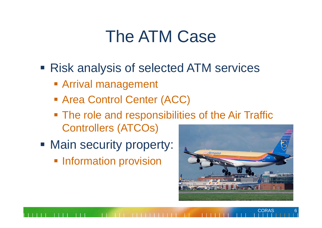## The ATM Case

- Risk analysis of selected ATM services
	- Arrival management
	- Area Control Center (ACC)
	- **The role and responsibilities of the Air Traffic** Controllers (ATCOs)
- **Main security property:** 
	- **Information provision**

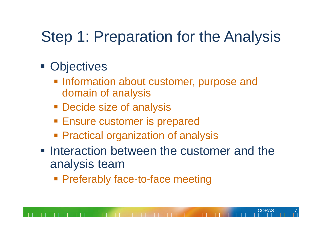#### Step 1: Preparation for the Analysis

- **Objectives** 
	- **Information about customer, purpose and** domain of analysis
	- **Decide size of analysis**
	- **Ensure customer is prepared**
	- **Practical organization of analysis**
- **Interaction between the customer and the** analysis team

CORAS 7

**Preferably face-to-face meeting**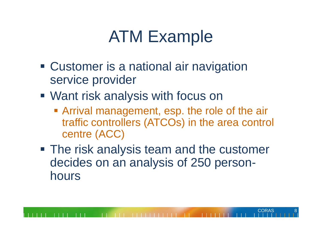# ATM Example

- **Customer is a national air navigation** service provider
- Want risk analysis with focus on
	- **Arrival management, esp. the role of the air** traffic controllers (ATCOs) in the area control centre (ACC)

CORAS 8

**The risk analysis team and the customer** decides on an analysis of 250 personhours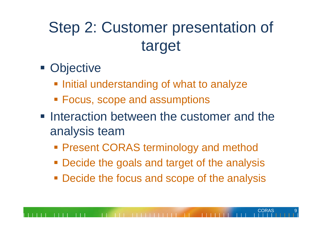## Step 2: Customer presentation of target

- **Objective** 
	- **Initial understanding of what to analyze**
	- Focus, scope and assumptions
- **Interaction between the customer and the** analysis team
	- **Present CORAS terminology and method**
	- **Decide the goals and target of the analysis**
	- **Decide the focus and scope of the analysis**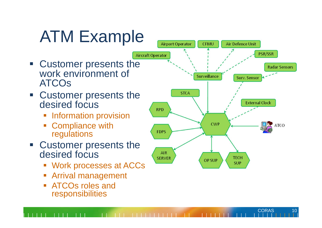# ATM Example

- **Example 2 Customer presents the** work environment of ATCOs
- **Example 2** Customer presents the desired focus
	- **Information provision**
	- **Compliance with** regulations
- **Example 2** Customer presents the desired focus
	- Work processes at ACCs
	- Ξ Arrival management
	- eri<br>Vite ATCOs roles and responsibilities

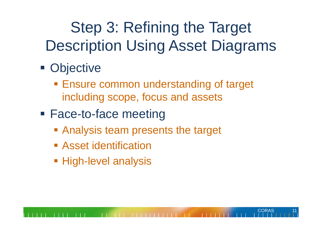## Step 3: Refining the Target Description Using Asset Diagrams

- **Objective** 
	- **Ensure common understanding of target** including scope, focus and assets

- **Face-to-face meeting** 
	- **Analysis team presents the target**
	- **Example 1 Asset identification**
	- **High-level analysis**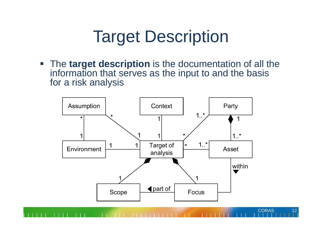## Target Description

 $\mathcal{L}_{\mathcal{A}}$  The **target description** is the documentation of all the information that serves as the input to and the basis for a risk analysis

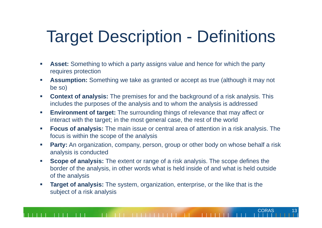# Target Description - Definitions

- $\mathcal{L}_{\mathcal{A}}$  **Asset:** Something to which a party assigns value and hence for which the party requires protection
- $\mathcal{L}_{\mathcal{A}}$  **Assumption:** Something we take as granted or accept as true (although it may not be so)
- $\mathcal{L}_{\mathcal{A}}$  **Context of analysis:** The premises for and the background of a risk analysis. This includes the purposes of the analysis and to whom the analysis is addressed
- $\mathcal{C}^{\mathcal{A}}$  **Environment of target:** The surrounding things of relevance that may affect or interact with the target; in the most general case, the rest of the world
- $\mathcal{L}_{\mathcal{A}}$  **Focus of analysis:** The main issue or central area of attention in a risk analysis. The focus is within the scope of the analysis
- $\mathbb{R}^2$ **Party:** An organization, company, person, group or other body on whose behalf a risk analysis is conducted
- $\mathcal{L}_{\mathcal{A}}$  **Scope of analysis:** The extent or range of a risk analysis. The scope defines the border of the analysis, in other words what is held inside of and what is held outside of the analysis
- $\mathcal{L}_{\mathcal{A}}$  **Target of analysis:** The system, organization, enterprise, or the like that is the subject of a risk analysis

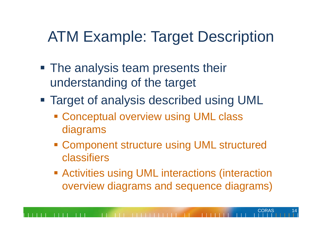- **The analysis team presents their** understanding of the target
- Target of analysis described using UML
	- **Example 2 Conceptual overview using UML class** diagrams
	- **Example Component structure using UML structured** classifiers
	- **EXECT Activities using UML interactions (interaction** overview diagrams and sequence diagrams)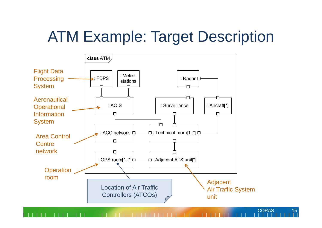

15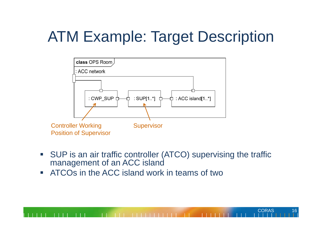

 $\overline{\phantom{a}}$  SUP is an air traffic controller (ATCO) supervising the traffic management of an ACC island

**CORAS** 

16

 $\overline{\phantom{a}}$ ATCOs in the ACC island work in teams of two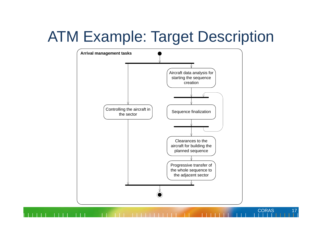

**CORAS** 

 $17$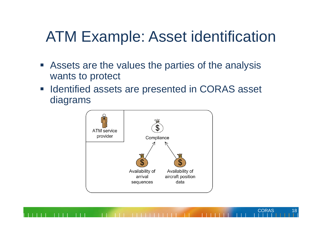#### ATM Example: Asset identification

- **EXTERF** Assets are the values the parties of the analysis wants to protect
- $\overline{\phantom{a}}$  Identified assets are presented in CORAS asset diagrams



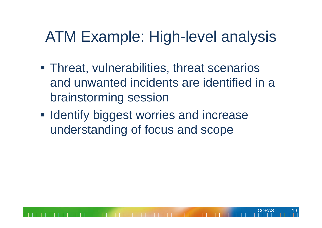#### ATM Example: High-level analysis

**Threat, vulnerabilities, threat scenarios** and unwanted incidents are identified in a brainstorming session

CORAS 19

**Identify biggest worries and increase** understanding of focus and scope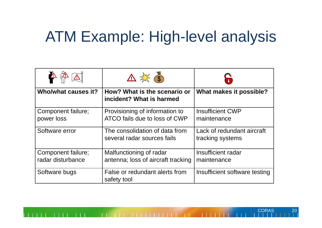#### ATM Example: High-level analysis

| <mark>△</mark><br>$\mathbb{Z}$<br>$\frac{1}{2}$ | $\triangle \frac{11}{4}$ (5)                                    |                                                |  |
|-------------------------------------------------|-----------------------------------------------------------------|------------------------------------------------|--|
| Who/what causes it?                             | How? What is the scenario or<br>incident? What is harmed        | What makes it possible?                        |  |
| Component failure;<br>power loss                | Provisioning of information to<br>ATCO fails due to loss of CWP | <b>Insufficient CWP</b><br>maintenance         |  |
| Software error                                  | The consolidation of data from<br>several radar sources fails   | Lack of redundant aircraft<br>tracking systems |  |
| Component failure;<br>radar disturbance         | Malfunctioning of radar<br>antenna; loss of aircraft tracking   | Insufficient radar<br>maintenance              |  |
| Software bugs                                   | False or redundant alerts from<br>safety tool                   | Insufficient software testing                  |  |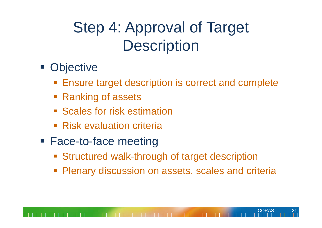## Step 4: Approval of Target **Description**

- **Objective** 
	- **Ensure target description is correct and complete**
	- **Ranking of assets**
	- **Scales for risk estimation**
	- **Risk evaluation criteria**
- **Face-to-face meeting** 
	- **Structured walk-through of target description**
	- **Plenary discussion on assets, scales and criterially**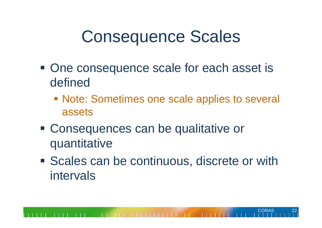#### Consequence Scales

- **One consequence scale for each asset is** defined
	- **Note: Sometimes one scale applies to several** assets
- Consequences can be qualitative or quantitative
- **Scales can be continuous, discrete or with** intervals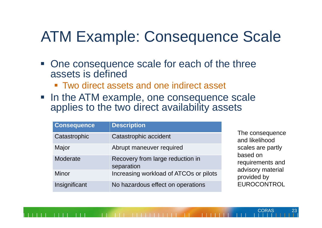#### ATM Example: Consequence Scale

- One consequence scale for each of the three assets is defined
	- Two direct assets and one indirect asset
- In the ATM example, one consequence scale applies to the two direct availability assets

| <b>Consequence</b> | <b>Description</b>                             |                                                   |  |
|--------------------|------------------------------------------------|---------------------------------------------------|--|
| Catastrophic       | Catastrophic accident                          | The consequence<br>and likelihood                 |  |
| Major              | Abrupt maneuver required                       | scales are partly<br>based on<br>requirements and |  |
| Moderate           | Recovery from large reduction in<br>separation |                                                   |  |
| <b>Minor</b>       | Increasing workload of ATCOs or pilots         | advisory material<br>provided by                  |  |
| Insignificant      | No hazardous effect on operations              | EUROCONTROL                                       |  |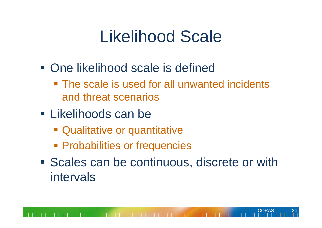## Likelihood Scale

- **One likelihood scale is defined** 
	- **The scale is used for all unwanted incidents** and threat scenarios
- **ELikelihoods can be** 
	- Qualitative or quantitative
	- **Probabilities or frequencies**
- **Scales can be continuous, discrete or with** intervals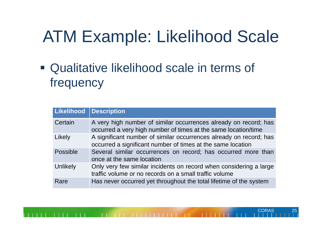# ATM Example: Likelihood Scale

 Qualitative likelihood scale in terms of frequency

| Likelihood Description |                                                                                                                                    |
|------------------------|------------------------------------------------------------------------------------------------------------------------------------|
| Certain                | A very high number of similar occurrences already on record; has<br>occurred a very high number of times at the same location/time |
| Likely                 | A significant number of similar occurrences already on record; has<br>occurred a significant number of times at the same location  |
| <b>Possible</b>        | Several similar occurrences on record; has occurred more than<br>once at the same location                                         |
| Unlikely               | Only very few similar incidents on record when considering a large<br>traffic volume or no records on a small traffic volume       |
| Rare                   | Has never occurred yet throughout the total lifetime of the system                                                                 |

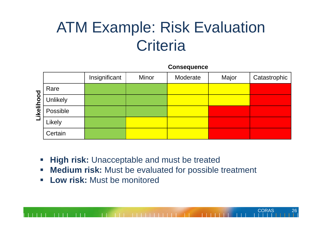#### ATM Example: Risk Evaluation **Criteria**

**Consequence**

|                                           |                 | Insignificant | <b>Minor</b> | Moderate | Major | Catastrophic |
|-------------------------------------------|-----------------|---------------|--------------|----------|-------|--------------|
| hood<br>彊<br>$\overline{\mathbf{e}}$<br>丐 | Rare            |               |              |          |       |              |
|                                           | <b>Unlikely</b> |               |              |          |       |              |
|                                           | Possible        |               |              |          |       |              |
|                                           | Likely          |               |              |          |       |              |
|                                           | Certain         |               |              |          |       |              |

- $\mathcal{L}_{\mathcal{A}}$  **High risk:** Unacceptable and must be treated
	- $\mathcal{L}_{\mathcal{A}}$ **Medium risk:** Must be evaluated for possible treatment

**CORAS** 

26

 $\overline{\phantom{a}}$ **Low risk:** Must be monitored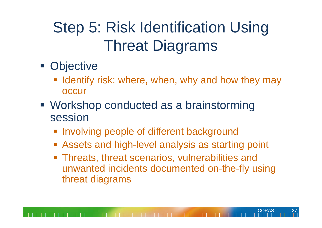## Step 5: Risk Identification Using Threat Diagrams

- **Objective** 
	- **I** Identify risk: where, when, why and how they may **occur**
- Workshop conducted as a brainstorming session
	- **Involving people of different background**
	- **Exagets and high-level analysis as starting point**
	- **Threats, threat scenarios, vulnerabilities and** unwanted incidents documented on-the-fly using threat diagrams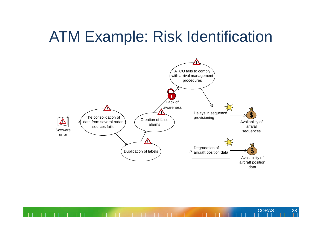#### ATM Example: Risk Identification



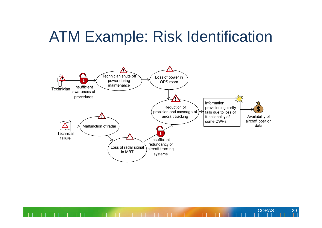#### ATM Example: Risk Identification



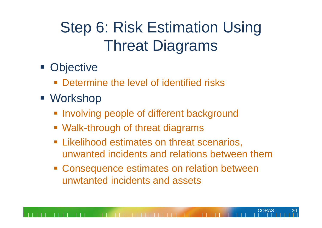## Step 6: Risk Estimation Using Threat Diagrams

- **Objective** 
	- **Determine the level of identified risks**
- Workshop
	- **Involving people of different background**
	- Walk-through of threat diagrams
	- **Example 2 Exercise 1 Set Exercise 1 Fig. 2** Eikelihood estimates on threat scenarios, unwanted incidents and relations between them

CORAS

**Consequence estimates on relation between** unwtanted incidents and assets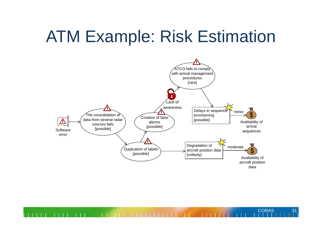## ATM Example: Risk Estimation



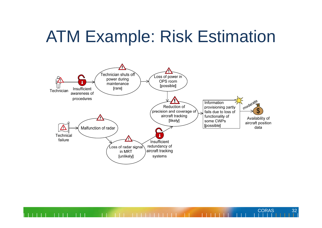## ATM Example: Risk Estimation



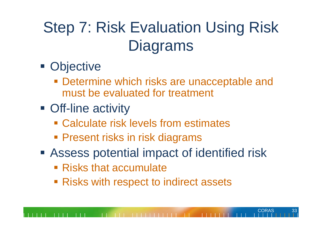## Step 7: Risk Evaluation Using Risk **Diagrams**

- **Objective** 
	- **Determine which risks are unacceptable and** must be evaluated for treatment
- **Off-line activity** 
	- Calculate risk levels from estimates
	- **Present risks in risk diagrams**
- Assess potential impact of identified risk

- **Risks that accumulate**
- **Risks with respect to indirect assets**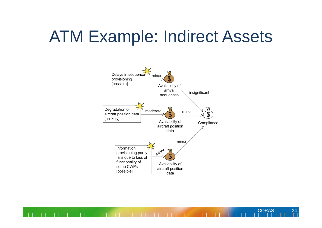#### ATM Example: Indirect Assets

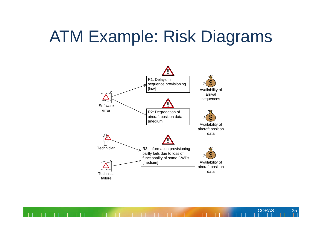## ATM Example: Risk Diagrams



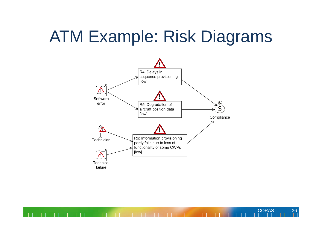## ATM Example: Risk Diagrams



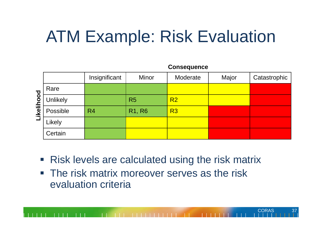# ATM Example: Risk Evaluation

Conseguiance

|                   | <b>OUIDENNEIRE</b> |                |                |                |       |              |
|-------------------|--------------------|----------------|----------------|----------------|-------|--------------|
|                   |                    | Insignificant  | Minor          | Moderate       | Major | Catastrophic |
| poo<br><u>ତ୍ର</u> | Rare               |                |                |                |       |              |
|                   | <b>Unlikely</b>    |                | R <sub>5</sub> | R <sub>2</sub> |       |              |
|                   | Possible           | R <sub>4</sub> | <b>R1, R6</b>  | R3             |       |              |
|                   | Likely             |                |                |                |       |              |
|                   | Certain            |                |                |                |       |              |

**Risk levels are calculated using the risk matrix** 

CORAS

**The risk matrix moreover serves as the risk** evaluation criteria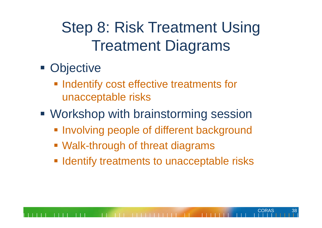## Step 8: Risk Treatment Using Treatment Diagrams

- **Objective** 
	- **Indentify cost effective treatments for** unacceptable risks
- Workshop with brainstorming session
	- **Involving people of different background**
	- Walk-through of threat diagrams
	- **Identify treatments to unacceptable risks**

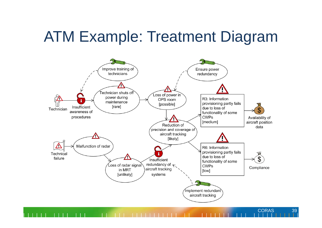#### ATM Example: Treatment Diagram